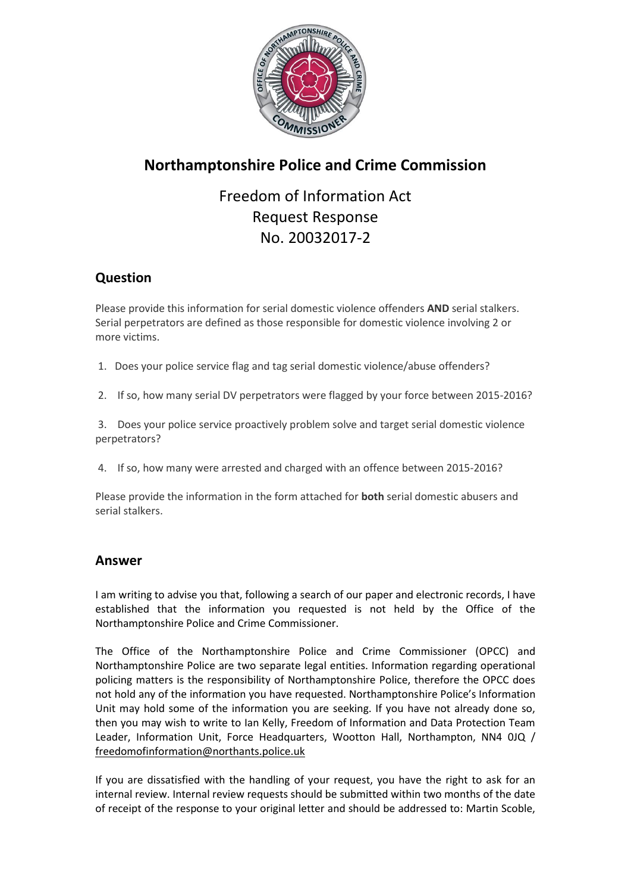

## **Northamptonshire Police and Crime Commission**

## Freedom of Information Act Request Response No. 20032017-2

## **Question**

Please provide this information for serial domestic violence offenders **AND** serial stalkers. Serial perpetrators are defined as those responsible for domestic violence involving 2 or more victims.

- 1. Does your police service flag and tag serial domestic violence/abuse offenders?
- 2. If so, how many serial DV perpetrators were flagged by your force between 2015-2016?

3. Does your police service proactively problem solve and target serial domestic violence perpetrators?

4. If so, how many were arrested and charged with an offence between 2015-2016?

Please provide the information in the form attached for **both** serial domestic abusers and serial stalkers.

## **Answer**

I am writing to advise you that, following a search of our paper and electronic records, I have established that the information you requested is not held by the Office of the Northamptonshire Police and Crime Commissioner.

The Office of the Northamptonshire Police and Crime Commissioner (OPCC) and Northamptonshire Police are two separate legal entities. Information regarding operational policing matters is the responsibility of Northamptonshire Police, therefore the OPCC does not hold any of the information you have requested. Northamptonshire Police's Information Unit may hold some of the information you are seeking. If you have not already done so, then you may wish to write to Ian Kelly, Freedom of Information and Data Protection Team Leader, Information Unit, Force Headquarters, Wootton Hall, Northampton, NN4 0JQ / [freedomofinformation@northants.police.uk](mailto:freedomofinformation@northants.police.uk)

If you are dissatisfied with the handling of your request, you have the right to ask for an internal review. Internal review requests should be submitted within two months of the date of receipt of the response to your original letter and should be addressed to: Martin Scoble,